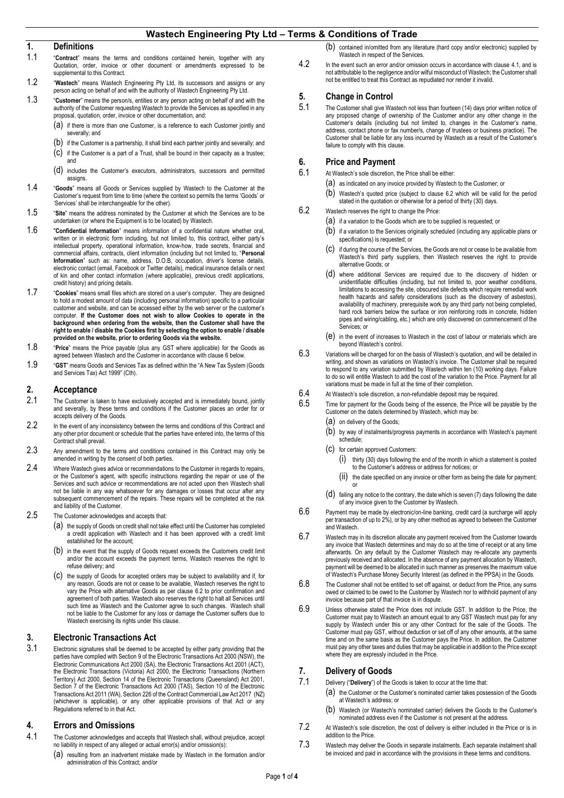## **1. Definitions**

- 1.1 "**Contract**" means the terms and conditions contained herein, together with any Quotation, order, invoice or other document or amendments expressed to be supplemental to this Contract.
- 1.2 "**Wastech**" means Wastech Engineering Pty Ltd, its successors and assigns or any person acting on behalf of and with the authority of Wastech Engineering Pty Ltd.
- 1.3 "**Customer**" means the person/s, entities or any person acting on behalf of and with the authority of the Customer requesting Wastech to provide the Services as specified in any proposal, quotation, order, invoice or other documentation, and:
	- (a) if there is more than one Customer, is a reference to each Customer jointly and severally; and
	- (b) if the Customer is a partnership, it shall bind each partner jointly and severally; and
	- (c) if the Customer is a part of a Trust, shall be bound in their capacity as a trustee; and
	- (d) includes the Customer's executors, administrators, successors and permitted assigns.
- 1.4 "**Goods**" means all Goods or Services supplied by Wastech to the Customer at the Customer's request from time to time (where the context so permits the terms 'Goods' or 'Services' shall be interchangeable for the other).
- 1.5 "**Site**" means the address nominated by the Customer at which the Services are to be undertaken (or where the Equipment is to be located) by Wastech.
- 1.6 "**Confidential Information**" means information of a confidential nature whether oral, written or in electronic form including, but not limited to, this contract, either party's intellectual property, operational information, know-how, trade secrets, financial and commercial affairs, contracts, client information (including but not limited to, "**Personal Information**" such as: name, address, D.O.B, occupation, driver's license details, electronic contact (email, Facebook or Twitter details), medical insurance details or next of kin and other contact information (where applicable), previous credit applications, credit history) and pricing details.
- 1.7 "**Cookies**" means small files which are stored on a user's computer. They are designed to hold a modest amount of data (including personal information) specific to a particular customer and website, and can be accessed either by the web server or the customer's computer. **If the Customer does not wish to allow Cookies to operate in the background when ordering from the website, then the Customer shall have the right to enable / disable the Cookies first by selecting the option to enable / disable provided on the website, prior to ordering Goods via the website.**
- 1.8 "**Price**" means the Price payable (plus any GST where applicable) for the Goods as agreed between Wastech and the Customer in accordance with claus[e 6](#page-0-0) below.
- 1.9 "**GST**" means Goods and Services Tax as defined within the "A New Tax System (Goods and Services Tax) Act 1999" (Cth).

## **2. Acceptance**

- 2.1 The Customer is taken to have exclusively accepted and is immediately bound, jointly and severally, by these terms and conditions if the Customer places an order for or accepts delivery of the Goods.
- 2.2 In the event of any inconsistency between the terms and conditions of this Contract and any other prior document or schedule that the parties have entered into, the terms of this Contract shall prevail.
- 2.3 Any amendment to the terms and conditions contained in this Contract may only be amended in writing by the consent of both parties.
- 2.4 Where Wastech gives advice or recommendations to the Customer in regards to repairs, or the Customer's agent, with specific instructions regarding the repair or use of the Services and such advice or recommendations are not acted upon then Wastech shall not be liable in any way whatsoever for any damages or losses that occur after any subsequent commencement of the repairs. These repairs will be completed at the risk and liability of the Customer.
- 2.5 The Customer acknowledges and accepts that
	- (a) the supply of Goods on credit shall not take effect until the Customer has completed a credit application with Wastech and it has been approved with a credit limit established for the account;
	- (b) in the event that the supply of Goods request exceeds the Customers credit limit and/or the account exceeds the payment terms, Wastech reserves the right to refuse delivery; and
	- (c) the supply of Goods for accepted orders may be subject to availability and if, for any reason, Goods are not or cease to be available, Wastech reserves the right to vary the Price with alternative Goods as per clause [6.2](#page-0-1) to prior confirmation and agreement of both parties. Wastech also reserves the right to halt all Services until such time as Wastech and the Customer agree to such changes. Wastech shall not be liable to the Customer for any loss or damage the Customer suffers due to Wastech exercising its rights under this clause.

### **3. Electronic Transactions Act**

3.1 Electronic signatures shall be deemed to be accepted by either party providing that the parties have complied with Section 9 of the Electronic Transactions Act 2000 (NSW), the Electronic Communications Act 2000 (SA), the Electronic Transactions Act 2001 (ACT), the Electronic Transactions (Victoria) Act 2000, the Electronic Transactions (Northern Territory) Act 2000, Section 14 of the Electronic Transactions (Queensland) Act 2001, Section 7 of the Electronic Transactions Act 2000 (TAS), Section 10 of the Electronic Transactions Act 2011 (WA), Section 226 of the Contract Commercial Law Act 2017 (NZ) (whichever is applicable), or any other applicable provisions of that Act or any Regulations referred to in that Act.

### **4. Errors and Omissions**

- <span id="page-0-2"></span>4.1 The Customer acknowledges and accepts that Wastech shall, without prejudice, accept no liability in respect of any alleged or actual error(s) and/or omission(s):
	- (a) resulting from an inadvertent mistake made by Wastech in the formation and/or administration of this Contract; and/or

(b) contained in/omitted from any literature (hard copy and/or electronic) supplied by Wastech in respect of the Services.

4.2 In the event such an error and/or omission occurs in accordance with claus[e 4.1,](#page-0-2) and is not attributable to the negligence and/or wilful misconduct of Wastech; the Customer shall not be entitled to treat this Contract as repudiated nor render it invalid.

## **5. Change in Control**<br>5.1 **The Customer shall give Wa**

The Customer shall give Wastech not less than fourteen (14) days prior written notice of any proposed change of ownership of the Customer and/or any other change in the Customer's details (including but not limited to, changes in the Customer's name, address, contact phone or fax number/s, change of trustees or business practice). The Customer shall be liable for any loss incurred by Wastech as a result of the Customer's failure to comply with this clause.

#### <span id="page-0-0"></span>**6. Price and Payment**

- 6.1 At Wastech'<sup>s</sup> sole discretion, the Price shall be either:
	- (a) as indicated on any invoice provided by Wastech to the Customer; or
	- (b) Wastech's quoted price (subject to claus[e 6.2](#page-0-1) which will be valid for the period stated in the quotation or otherwise for a period of thirty (30) days.
- <span id="page-0-1"></span>6.2 Wastech reserves the right to change the Price:
	- (a) if a variation to the Goods which are to be supplied is requested; or
	- (b) if a variation to the Services originally scheduled (including any applicable plans or specifications) is requested; or
	- (c) if during the course of the Services, the Goods are not or cease to be available from Wastech's third party suppliers, then Wastech reserves the right to provide alternative Goods; or
	- where additional Services are required due to the discovery of hidden or unidentifiable difficulties (including, but not limited to, poor weather conditions, limitations to accessing the site, obscured site defects which require remedial work health hazards and safety considerations (such as the discovery of asbestos), availability of machinery, prerequisite work by any third party not being completed, hard rock barriers below the surface or iron reinforcing rods in concrete, hidden pipes and wiring/cabling, etc.) which are only discovered on commencement of the Services; or
	- (e) in the event of increases to Wastech in the cost of labour or materials which are beyond Wastech's control.
- 6.3 Variations will be charged for on the basis of Wastech's quotation, and will be detailed in writing, and shown as variations on Wastech's invoice. The Customer shall be required to respond to any variation submitted by Wastech within ten (10) working days. Failure to do so will entitle Wastech to add the cost of the variation to the Price. Payment for all variations must be made in full at the time of their completion.
- $6.4$  At Wastech's sole discretion, a non-refundable deposit may be required.<br> $6.5$  Time for payment for the Goods being of the essence the Price will be
- Time for payment for the Goods being of the essence, the Price will be payable by the Customer on the date/s determined by Wastech, which may be:
	- (a) on delivery of the Goods;<br>(b) by way of instalments/pro
	- by way of instalments/progress payments in accordance with Wastech's payment schedule;
	- (c) for certain approved Customers:
		- (i) thirty (30) days following the end of the month in which a statement is posted to the Customer's address or address for notices; or
		- (ii) the date specified on any invoice or other form as being the date for payment; or
	- $(d)$  failing any notice to the contrary, the date which is seven (7) days following the date of any invoice given to the Customer by Wastech.
- 6.6 Payment may be made by electronic/on-line banking, credit card (a surcharge will apply per transaction of up to 2%), or by any other method as agreed to between the Customer and Wastech.
- 6.7 Wastech may in its discretion allocate any payment received from the Customer towards any invoice that Wastech determines and may do so at the time of receipt or at any time afterwards. On any default by the Customer Wastech may re-allocate any payments previously received and allocated. In the absence of any payment allocation by Wastech, payment will be deemed to be allocated in such manner as preserves the maximum value of Wastech's Purchase Money Security Interest (as defined in the PPSA) in the Goods.
- 6.8 The Customer shall not be entitled to set off against, or deduct from the Price, any sums owed or claimed to be owed to the Customer by Wastech nor to withhold payment of any invoice because part of that invoice is in dispute.
- 6.9 Unless otherwise stated the Price does not include GST. In addition to the Price, the Customer must pay to Wastech an amount equal to any GST Wastech must pay for any supply by Wastech under this or any other Contract for the sale of the Goods. The Customer must pay GST, without deduction or set off of any other amounts, at the same time and on the same basis as the Customer pays the Price. In addition, the Customer must pay any other taxes and duties that may be applicable in addition to the Price except where they are expressly included in the Price.

## **7. Delivery of Goods**

- 7.1 Delivery ("**Delivery**") of the Goods is taken to occur at the time that:
	- (a) the Customer or the Customer's nominated carrier takes possession of the Goods at Wastech's address; or
	- (b) Wastech (or Wastech's nominated carrier) delivers the Goods to the Customer's nominated address even if the Customer is not present at the address.
- 7.2 At Wastech's sole discretion, the cost of delivery is either included in the Price or is in addition to the Price.
- 7.3 Wastech may deliver the Goods in separate instalments. Each separate instalment shall be invoiced and paid in accordance with the provisions in these terms and conditions.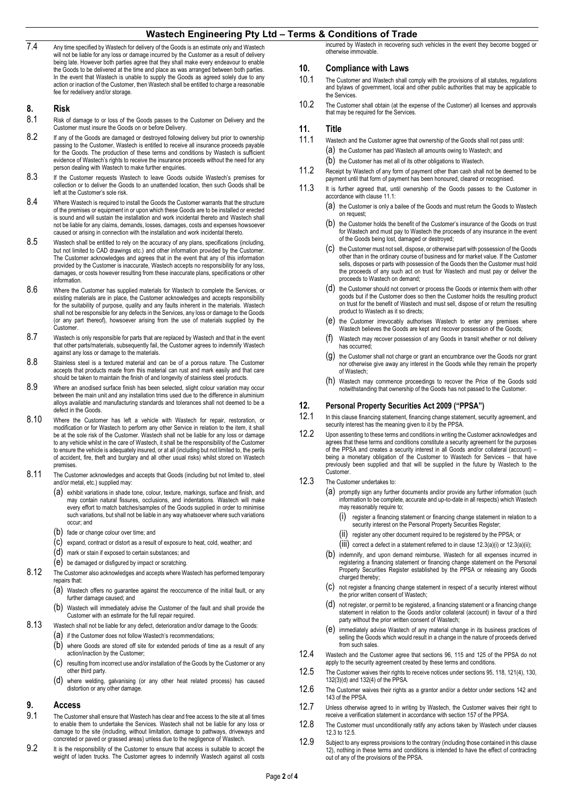7.4 Any time specified by Wastech for delivery of the Goods is an estimate only and Wastech will not be liable for any loss or damage incurred by the Customer as a result of delivery being late. However both parties agree that they shall make every endeavour to enable the Goods to be delivered at the time and place as was arranged between both parties. In the event that Wastech is unable to supply the Goods as agreed solely due to any action or inaction of the Customer, then Wastech shall be entitled to charge a reasonable fee for redelivery and/or storage.

# **8. Risk**

- Risk of damage to or loss of the Goods passes to the Customer on Delivery and the Customer must insure the Goods on or before Delivery.
- 8.2 If any of the Goods are damaged or destroyed following delivery but prior to ownership passing to the Customer, Wastech is entitled to receive all insurance proceeds payable for the Goods. The production of these terms and conditions by Wastech is sufficient evidence of Wastech's rights to receive the insurance proceeds without the need for any person dealing with Wastech to make further enquiries.
- 8.3 If the Customer requests Wastech to leave Goods outside Wastech's premises for collection or to deliver the Goods to an unattended location, then such Goods shall be left at the Customer's sole risk.
- 8.4 Where Wastech is required to install the Goods the Customer warrants that the structure of the premises or equipment in or upon which these Goods are to be installed or erected is sound and will sustain the installation and work incidental thereto and Wastech shall not be liable for any claims, demands, losses, damages, costs and expenses howsoever caused or arising in connection with the installation and work incidental thereto.
- 8.5 Wastech shall be entitled to rely on the accuracy of any plans, specifications (including, but not limited to CAD drawings etc.) and other information provided by the Customer. The Customer acknowledges and agrees that in the event that any of this information provided by the Customer is inaccurate, Wastech accepts no responsibility for any loss, damages, or costs however resulting from these inaccurate plans, specifications or other information.
- 8.6 Where the Customer has supplied materials for Wastech to complete the Services, or existing materials are in place, the Customer acknowledges and accepts responsibility for the suitability of purpose, quality and any faults inherent in the materials. Wastech shall not be responsible for any defects in the Services, any loss or damage to the Goods (or any part thereof), howsoever arising from the use of materials supplied by the Customer.
- 8.7 Wastech is only responsible for parts that are replaced by Wastech and that in the event that other parts/materials, subsequently fail, the Customer agrees to indemnify Wastech against any loss or damage to the materials.
- 8.8 Stainless steel is a textured material and can be of a porous nature. The Customer accepts that products made from this material can rust and mark easily and that care should be taken to maintain the finish of and longevity of stainless steel products.
- 8.9 Where an anodised surface finish has been selected, slight colour variation may occur between the main unit and any installation trims used due to the difference in aluminium alloys available and manufacturing standards and tolerances shall not deemed to be a defect in the Goods.
- 8.10 Where the Customer has left a vehicle with Wastech for repair, restoration, or modification or for Wastech to perform any other Service in relation to the item, it shall be at the sole risk of the Customer. Wastech shall not be liable for any loss or damage to any vehicle whilst in the care of Wastech, it shall be the responsibility of the Customer to ensure the vehicle is adequately insured, or at all (including but not limited to, the perils of accident, fire, theft and burglary and all other usual risks) whilst stored on Wastech premises.
- 8.11 The Customer acknowledges and accepts that Goods (including but not limited to, steel and/or metal, etc.) supplied may:
	- (a) exhibit variations in shade tone, colour, texture, markings, surface and finish, and may contain natural fissures, occlusions, and indentations. Wastech will make every effort to match batches/samples of the Goods supplied in order to minimise such variations, but shall not be liable in any way whatsoever where such variations occur; and
	- (b) fade or change colour over time; and
	- (c) expand, contract or distort as a result of exposure to heat, cold, weather; and
	- (d) mark or stain if exposed to certain substances; and
	- (e) be damaged or disfigured by impact or scratching.
- 8.12 The Customer also acknowledges and accepts where Wastech has performed temporary repairs that:
	- (a) Wastech offers no guarantee against the reoccurrence of the initial fault, or any further damage caused; and
	- (b) Wastech will immediately advise the Customer of the fault and shall provide the Customer with an estimate for the full repair required.
- 8.13 Wastech shall not be liable for any defect, deterioration and/or damage to the Goods:
	- (a) if the Customer does not follow Wastech's recommendations;
	- (b) where Goods are stored off site for extended periods of time as a result of any action/inaction by the Customer;
	- (c) resulting from incorrect use and/or installation of the Goods by the Customer or any other third party.
	- (d) where welding, galvanising (or any other heat related process) has caused distortion or any other damage.

### **9. Access**

- 9.1 The Customer shall ensure that Wastech has clear and free access to the site at all times to enable them to undertake the Services. Wastech shall not be liable for any loss or damage to the site (including, without limitation, damage to pathways, driveways and concreted or paved or grassed areas) unless due to the negligence of Wastech.
- 9.2 It is the responsibility of the Customer to ensure that access is suitable to accept the weight of laden trucks. The Customer agrees to indemnify Wastech against all costs

incurred by Wastech in recovering such vehicles in the event they become bogged or otherwise immovable.

### **10. Compliance with Laws**

- 10.1 The Customer and Wastech shall comply with the provisions of all statutes, regulations and bylaws of government, local and other public authorities that may be applicable to the Services.
- 10.2 The Customer shall obtain (at the expense of the Customer) all licenses and approvals that may be required for the Services.

### **11. Title**

- <span id="page-1-0"></span>11.1 Wastech and the Customer agree that ownership of the Goods shall not pass until:
	- (a) the Customer has paid Wastech all amounts owing to Wastech; and
- (b) the Customer has met all of its other obligations to Wastech. 11.2 Receipt by Wastech of any form of payment other than cash shall not be deemed to be
- payment until that form of payment has been honoured, cleared or recognised. 11.3 It is further agreed that, until ownership of the Goods passes to the Customer in
	- accordance with claus[e 11.1:](#page-1-0) (a) the Customer is only a bailee of the Goods and must return the Goods to Wastech on request;
	- (b) the Customer holds the benefit of the Customer's insurance of the Goods on trust for Wastech and must pay to Wastech the proceeds of any insurance in the event of the Goods being lost, damaged or destroyed;
	- (c) the Customer must not sell, dispose, or otherwise part with possession of the Goods other than in the ordinary course of business and for market value. If the Customer sells, disposes or parts with possession of the Goods then the Customer must hold the proceeds of any such act on trust for Wastech and must pay or deliver the proceeds to Wastech on demand;
	- (d) the Customer should not convert or process the Goods or intermix them with other goods but if the Customer does so then the Customer holds the resulting product on trust for the benefit of Wastech and must sell, dispose of or return the resulting product to Wastech as it so directs;
	- (e) the Customer irrevocably authorises Wastech to enter any premises where Wastech believes the Goods are kept and recover possession of the Goods;
	- (f) Wastech may recover possession of any Goods in transit whether or not delivery has occurred;
	- (g) the Customer shall not charge or grant an encumbrance over the Goods nor grant nor otherwise give away any interest in the Goods while they remain the property of Wastech;
	- (h) Wastech may commence proceedings to recover the Price of the Goods sold notwithstanding that ownership of the Goods has not passed to the Customer.

## <span id="page-1-6"></span>**12. Personal Property Securities Act 2009 ("PPSA")**

- In this clause financing statement, financing change statement, security agreement, and security interest has the meaning given to it by the PPSA.
- 12.2 Upon assenting to these terms and conditions in writing the Customer acknowledges and agrees that these terms and conditions constitute a security agreement for the purposes of the PPSA and creates a security interest in all Goods and/or collateral (account) – being a monetary obligation of the Customer to Wastech for Services – that have previously been supplied and that will be supplied in the future by Wastech to the Customer.

### <span id="page-1-3"></span><span id="page-1-2"></span><span id="page-1-1"></span>12.3 The Customer undertakes to:

- (a) promptly sign any further documents and/or provide any further information (such information to be complete, accurate and up-to-date in all respects) which Wastech may reasonably require to;
	- (i) register a financing statement or financing change statement in relation to a security interest on the Personal Property Securities Register;
	- (ii) register any other document required to be registered by the PPSA; or
	- $(iii)$  $(iii)$  correct a defect in a statement referred to in claus[e 12.3\(](#page-1-1)[a\)\(](#page-1-2)i) o[r 12.3\(](#page-1-1)a)([ii\);](#page-1-4)
- <span id="page-1-4"></span>(b) indemnify, and upon demand reimburse, Wastech for all expenses incurred in registering a financing statement or financing change statement on the Personal Property Securities Register established by the PPSA or releasing any Goods charged thereby;
- (c) not register a financing change statement in respect of a security interest without the prior written consent of Wastech;
- (d) not register, or permit to be registered, a financing statement or a financing change statement in relation to the Goods and/or collateral (account) in favour of a third party without the prior written consent of Wastech;
- (e) immediately advise Wastech of any material change in its business practices of selling the Goods which would result in a change in the nature of proceeds derived from such sales.
- 12.4 Wastech and the Customer agree that sections 96, 115 and 125 of the PPSA do not apply to the security agreement created by these terms and conditions.
- <span id="page-1-5"></span>12.5 The Customer waives their rights to receive notices under sections 95, 118, 121(4), 130, 132(3)(d) and 132(4) of the PPSA.
- 12.6 The Customer waives their rights as a grantor and/or a debtor under sections 142 and 143 of the PPSA.
- 12.7 Unless otherwise agreed to in writing by Wastech, the Customer waives their right to receive a verification statement in accordance with section 157 of the PPSA.
- 12.8 The Customer must unconditionally ratify any actions taken by Wastech under clauses [12.3](#page-1-1) t[o 12.5.](#page-1-5)
- 12.9 Subject to any express provisions to the contrary (including those contained in this clause [12\),](#page-1-6) nothing in these terms and conditions is intended to have the effect of contracting out of any of the provisions of the PPSA.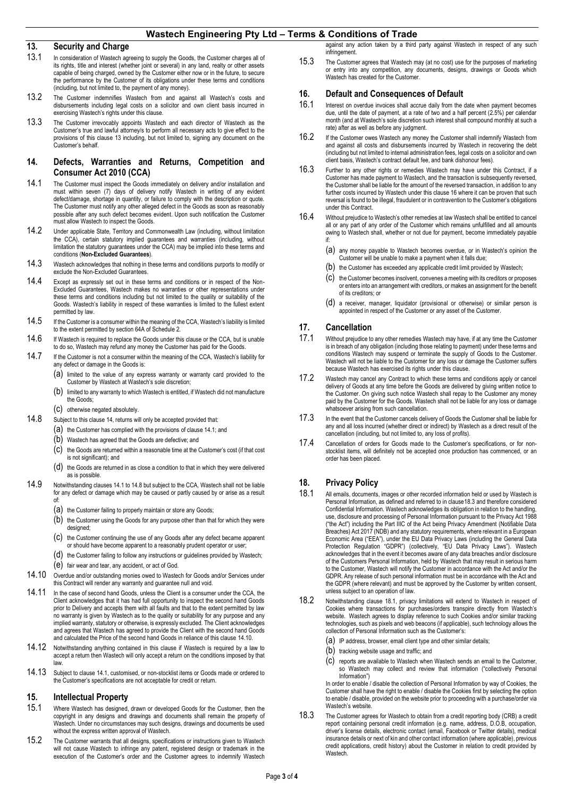# <span id="page-2-0"></span>**13. Security and Charge**<br>**13.1** In consideration of Wastech ag

- In consideration of Wastech agreeing to supply the Goods, the Customer charges all of its rights, title and interest (whether joint or several) in any land, realty or other assets capable of being charged, owned by the Customer either now or in the future, to secure the performance by the Customer of its obligations under these terms and conditions (including, but not limited to, the payment of any money).
- 13.2 The Customer indemnifies Wastech from and against all Wastech's costs and disbursements including legal costs on a solicitor and own client basis incurred in exercising Wastech's rights under this clause.
- 13.3 The Customer irrevocably appoints Wastech and each director of Wastech as the Customer's true and lawful attorney/s to perform all necessary acts to give effect to the provisions of this claus[e 13](#page-2-0) including, but not limited to, signing any document on the Customer's behalf.

#### <span id="page-2-1"></span>**14. Defects, Warranties and Returns, Competition and Consumer Act 2010 (CCA)**

- <span id="page-2-2"></span>14.1 The Customer must inspect the Goods immediately on delivery and/or installation and must within seven (7) days of delivery notify Wastech in writing of any evident defect/damage, shortage in quantity, or failure to comply with the description or quote. The Customer must notify any other alleged defect in the Goods as soon as reasonably possible after any such defect becomes evident. Upon such notification the Customer must allow Wastech to inspect the Goods.
- 14.2 Under applicable State, Territory and Commonwealth Law (including, without limitation the CCA), certain statutory implied guarantees and warranties (including, without limitation the statutory guarantees under the CCA) may be implied into these terms and conditions (**Non-Excluded Guarantees**).
- 14.3 Wastech acknowledges that nothing in these terms and conditions purports to modify or exclude the Non-Excluded Guarantees.
- 14.4 Except as expressly set out in these terms and conditions or in respect of the Non-Excluded Guarantees, Wastech makes no warranties or other representations under these terms and conditions including but not limited to the quality or suitability of the Goods. Wastech's liability in respect of these warranties is limited to the fullest extent permitted by law.
- 14.5 If the Customer is a consumer within the meaning of the CCA, Wastech's liability is limited to the extent permitted by section 64A of Schedule 2.
- 14.6 If Wastech is required to replace the Goods under this clause or the CCA, but is unable to do so, Wastech may refund any money the Customer has paid for the Goods.
- 14.7 If the Customer is not a consumer within the meaning of the CCA, Wastech's liability for any defect or damage in the Goods is:
	- (a) limited to the value of any express warranty or warranty card provided to the Customer by Wastech at Wastech's sole discretion;
	- (b) limited to any warranty to which Wastech is entitled, if Wastech did not manufacture the Goods;
	- (c) otherwise negated absolutely.
- <span id="page-2-3"></span>14.8 Subject to this claus[e 14,](#page-2-1) returns will only be accepted provided that:
	- (a) the Customer has complied with the provisions of claus[e 14.1;](#page-2-2) and
	- (b) Wastech has agreed that the Goods are defective; and
	- (c) the Goods are returned within a reasonable time at the Customer's cost (if that cost is not significant); and
	- (d) the Goods are returned in as close a condition to that in which they were delivered as is possible.
- 14.9 Notwithstanding clause[s 14.1](#page-2-2) t[o 14.8](#page-2-3) but subject to the CCA, Wastech shall not be liable for any defect or damage which may be caused or partly caused by or arise as a result of:
	- (a) the Customer failing to properly maintain or store any Goods;
	- (b) the Customer using the Goods for any purpose other than that for which they were designed;
	- (c) the Customer continuing the use of any Goods after any defect became apparent or should have become apparent to a reasonably prudent operator or user;
	- (d) the Customer failing to follow any instructions or guidelines provided by Wastech;
	- (e) fair wear and tear, any accident, or act of God.
- <span id="page-2-4"></span>14.10 Overdue and/or outstanding monies owed to Wastech for Goods and/or Services under this Contract will render any warranty and guarantee null and void.
- 14.11 In the case of second hand Goods, unless the Client is a consumer under the CCA, the Client acknowledges that it has had full opportunity to inspect the second hand Goods prior to Delivery and accepts them with all faults and that to the extent permitted by law no warranty is given by Wastech as to the quality or suitability for any purpose and any implied warranty, statutory or otherwise, is expressly excluded. The Client acknowledges and agrees that Wastech has agreed to provide the Client with the second hand Goods and calculated the Price of the second hand Goods in reliance of this claus[e 14.10.](#page-2-4)
- 14.12 Notwithstanding anything contained in this clause if Wastech is required by a law to accept a return then Wastech will only accept a return on the conditions imposed by that law.
- 14.13 Subject to claus[e 14.1,](#page-2-2) customised, or non-stocklist items or Goods made or ordered to the Customer's specifications are not acceptable for credit or return.

### **15. Intellectual Property**

- 15.1 Where Wastech has designed, drawn or developed Goods for the Customer, then the copyright in any designs and drawings and documents shall remain the property of Wastech. Under no circumstances may such designs, drawings and documents be used without the express written approval of Wastech.
- 15.2 The Customer warrants that all designs, specifications or instructions given to Wastech will not cause Wastech to infringe any patent, registered design or trademark in the execution of the Customer's order and the Customer agrees to indemnify Wastech

against any action taken by a third party against Wastech in respect of any such infringement.

15.3 The Customer agrees that Wastech may (at no cost) use for the purposes of marketing or entry into any competition, any documents, designs, drawings or Goods which Wastech has created for the Customer.

## <span id="page-2-5"></span>**16. Default and Consequences of Default 16.1 Interest on overdue invoices shall accrue daily from the**

- Interest on overdue invoices shall accrue daily from the date when payment becomes due, until the date of payment, at a rate of two and a half percent (2.5%) per calendar month (and at Wastech's sole discretion such interest shall compound monthly at such a rate) after as well as before any judgment.
- 16.2 If the Customer owes Wastech any money the Customer shall indemnify Wastech from and against all costs and disbursements incurred by Wastech in recovering the debt (including but not limited to internal administration fees, legal costs on a solicitor and own client basis, Wastech's contract default fee, and bank dishonour fees).
- 16.3 Further to any other rights or remedies Wastech may have under this Contract, if a Customer has made payment to Wastech, and the transaction is subsequently reversed, the Customer shall be liable for the amount of the reversed transaction, in addition to any further costs incurred by Wastech under this claus[e 16](#page-2-5) where it can be proven that such reversal is found to be illegal, fraudulent or in contravention to the Customer's obligations under this Contract.
- 16.4 Without prejudice to Wastech's other remedies at law Wastech shall be entitled to cancel all or any part of any order of the Customer which remains unfulfilled and all amounts owing to Wastech shall, whether or not due for payment, become immediately payable if:
	- (a) any money payable to Wastech becomes overdue, or in Wastech's opinion the Customer will be unable to make a payment when it falls due;
	- (b) the Customer has exceeded any applicable credit limit provided by Wastech;
	- (c) the Customer becomes insolvent, convenes a meeting with its creditors or proposes or enters into an arrangement with creditors, or makes an assignment for the benefit of its creditors; or
	- a receiver, manager, liquidator (provisional or otherwise) or similar person is appointed in respect of the Customer or any asset of the Customer.

# **17. Cancellation**

- Without prejudice to any other remedies Wastech may have, if at any time the Customer is in breach of any obligation (including those relating to payment) under these terms and conditions Wastech may suspend or terminate the supply of Goods to the Customer. Wastech will not be liable to the Customer for any loss or damage the Customer suffers because Wastech has exercised its rights under this clause.
- 17.2 Wastech may cancel any Contract to which these terms and conditions apply or cancel delivery of Goods at any time before the Goods are delivered by giving written notice to the Customer. On giving such notice Wastech shall repay to the Customer any money paid by the Customer for the Goods. Wastech shall not be liable for any loss or damage whatsoever arising from such cancellation.
- 17.3 In the event that the Customer cancels delivery of Goods the Customer shall be liable for any and all loss incurred (whether direct or indirect) by Wastech as a direct result of the cancellation (including, but not limited to, any loss of profits).
- 17.4 Cancellation of orders for Goods made to the Customer's specifications, or for nonstocklist items, will definitely not be accepted once production has commenced, or an order has been placed.

## **18. Privacy Policy**

- <span id="page-2-7"></span>18.1 All emails, documents, images or other recorded information held or used by Wastech is Personal Information, as defined and referred to in claus[e18.3](#page-2-6) and therefore considered Confidential Information. Wastech acknowledges its obligation in relation to the handling, use, disclosure and processing of Personal Information pursuant to the Privacy Act 1988 ("the Act") including the Part IIIC of the Act being Privacy Amendment (Notifiable Data Breaches) Act 2017 (NDB) and any statutory requirements, where relevant in a European Economic Area ("EEA"), under the EU Data Privacy Laws (including the General Data Protection Regulation "GDPR") (collectively, "EU Data Privacy Laws"). Wastech acknowledges that in the event it becomes aware of any data breaches and/or disclosure of the Customers Personal Information, held by Wastech that may result in serious harm to the Customer, Wastech will notify the Customer in accordance with the Act and/or the GDPR. Any release of such personal information must be in accordance with the Act and the GDPR (where relevant) and must be approved by the Customer by written consent, unless subject to an operation of law.
- 18.2 Notwithstanding clause [18.1,](#page-2-7) privacy limitations will extend to Wastech in respect of Cookies where transactions for purchases/orders transpire directly from Wastech's website. Wastech agrees to display reference to such Cookies and/or similar tracking technologies, such as pixels and web beacons (if applicable), such technology allows the collection of Personal Information such as the Customer's:
	- (a) IP address, browser, email client type and other similar details;
	- (b) tracking website usage and traffic; and
	- (c) reports are available to Wastech when Wastech sends an email to the Customer, so Wastech may collect and review that information ("collectively Personal Information")

In order to enable / disable the collection of Personal Information by way of Cookies, the Customer shall have the right to enable / disable the Cookies first by selecting the option to enable / disable, provided on the website prior to proceeding with a purchase/order via Wastech's website.

<span id="page-2-6"></span>18.3 The Customer agrees for Wastech to obtain from a credit reporting body (CRB) a credit report containing personal credit information (e.g. name, address, D.O.B, occupation, driver's license details, electronic contact (email, Facebook or Twitter details), medical insurance details or next of kin and other contact information (where applicable), previous credit applications, credit history) about the Customer in relation to credit provided by **Wastech**